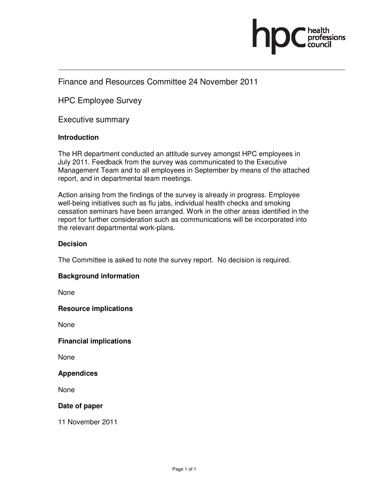

# Finance and Resources Committee 24 November 2011

HPC Employee Survey

Executive summary

## **Introduction**

The HR department conducted an attitude survey amongst HPC employees in July 2011. Feedback from the survey was communicated to the Executive Management Team and to all employees in September by means of the attached report, and in departmental team meetings.

Action arising from the findings of the survey is already in progress. Employee well-being initiatives such as flu jabs, individual health checks and smoking cessation seminars have been arranged. Work in the other areas identified in the report for further consideration such as communications will be incorporated into the relevant departmental work-plans.

### **Decision**

The Committee is asked to note the survey report. No decision is required.

## **Background information**

None

#### **Resource implications**

None

**Financial implications** 

None

#### **Appendices**

None

## **Date of paper**

11 November 2011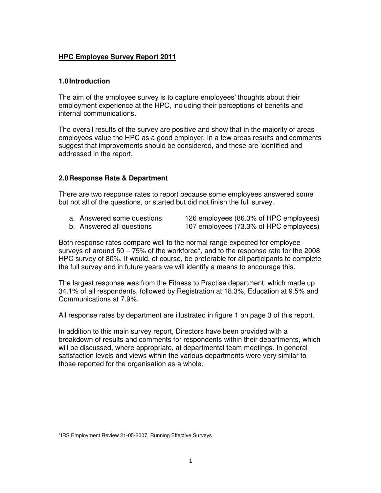# **HPC Employee Survey Report 2011**

## **1.0 Introduction**

The aim of the employee survey is to capture employees' thoughts about their employment experience at the HPC, including their perceptions of benefits and internal communications.

The overall results of the survey are positive and show that in the majority of areas employees value the HPC as a good employer. In a few areas results and comments suggest that improvements should be considered, and these are identified and addressed in the report.

## **2.0 Response Rate & Department**

There are two response rates to report because some employees answered some but not all of the questions, or started but did not finish the full survey.

- 
- a. Answered some questions 126 employees (86.3% of HPC employees)<br>b. Answered all questions 107 employees (73.3% of HPC employees) 107 employees (73.3% of HPC employees)
- 

Both response rates compare well to the normal range expected for employee surveys of around 50 – 75% of the workforce\*, and to the response rate for the 2008 HPC survey of 80%. It would, of course, be preferable for all participants to complete the full survey and in future years we will identify a means to encourage this.

The largest response was from the Fitness to Practise department, which made up 34.1% of all respondents, followed by Registration at 18.3%, Education at 9.5% and Communications at 7.9%.

All response rates by department are illustrated in figure 1 on page 3 of this report.

In addition to this main survey report, Directors have been provided with a breakdown of results and comments for respondents within their departments, which will be discussed, where appropriate, at departmental team meetings. In general satisfaction levels and views within the various departments were very similar to those reported for the organisation as a whole.

<sup>\*</sup>IRS Employment Review 21-05-2007, Running Effective Surveys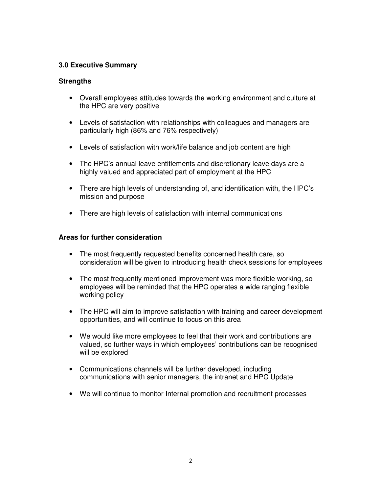# **3.0 Executive Summary**

## **Strengths**

- Overall employees attitudes towards the working environment and culture at the HPC are very positive
- Levels of satisfaction with relationships with colleagues and managers are particularly high (86% and 76% respectively)
- Levels of satisfaction with work/life balance and job content are high
- The HPC's annual leave entitlements and discretionary leave days are a highly valued and appreciated part of employment at the HPC
- There are high levels of understanding of, and identification with, the HPC's mission and purpose
- There are high levels of satisfaction with internal communications

# **Areas for further consideration**

- The most frequently requested benefits concerned health care, so consideration will be given to introducing health check sessions for employees
- The most frequently mentioned improvement was more flexible working, so employees will be reminded that the HPC operates a wide ranging flexible working policy
- The HPC will aim to improve satisfaction with training and career development opportunities, and will continue to focus on this area
- We would like more employees to feel that their work and contributions are valued, so further ways in which employees' contributions can be recognised will be explored
- Communications channels will be further developed, including communications with senior managers, the intranet and HPC Update
- We will continue to monitor Internal promotion and recruitment processes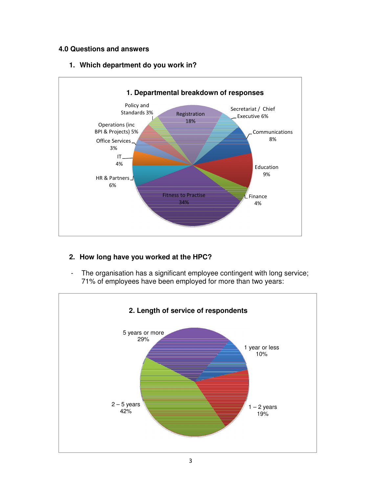# **4.0 Questions and answers**

# **1. Which department do you work in?**



# **2. How long have you worked at the HPC?**

- The organisation has a significant employee contingent with long service; 71% of employees have been employed for more than two years:

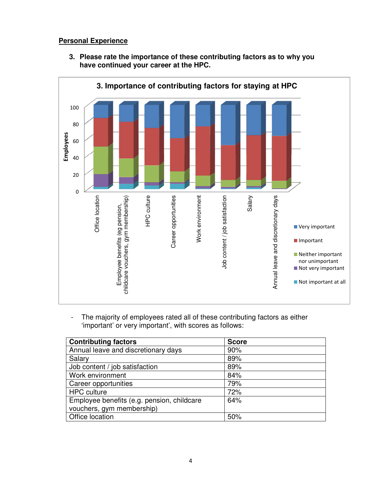# **Personal Experience**

**3. Please rate the importance of these contributing factors as to why you have continued your career at the HPC.** 



- The majority of employees rated all of these contributing factors as either 'important' or very important', with scores as follows:

| <b>Contributing factors</b>                | <b>Score</b> |
|--------------------------------------------|--------------|
| Annual leave and discretionary days        | 90%          |
| Salary                                     | 89%          |
| Job content / job satisfaction             | 89%          |
| Work environment                           | 84%          |
| Career opportunities                       | 79%          |
| <b>HPC</b> culture                         | 72%          |
| Employee benefits (e.g. pension, childcare | 64%          |
| vouchers, gym membership)                  |              |
| Office location                            | 50%          |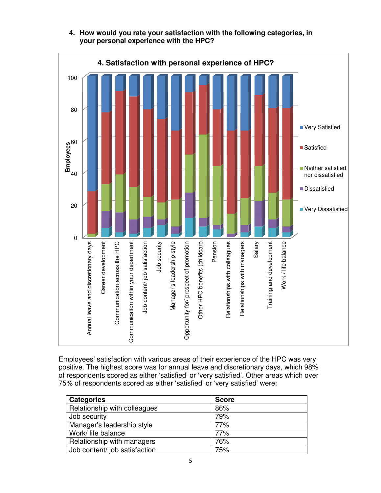

# **4. How would you rate your satisfaction with the following categories, in your personal experience with the HPC?**

Employees' satisfaction with various areas of their experience of the HPC was very positive. The highest score was for annual leave and discretionary days, which 98% of respondents scored as either 'satisfied' or 'very satisfied'. Other areas which over 75% of respondents scored as either 'satisfied' or 'very satisfied' were:

| <b>Categories</b>             | <b>Score</b> |
|-------------------------------|--------------|
| Relationship with colleagues  | 86%          |
| Job security                  | 79%          |
| Manager's leadership style    | 77%          |
| Work/ life balance            | 77%          |
| Relationship with managers    | 76%          |
| Job content/ job satisfaction | 75%          |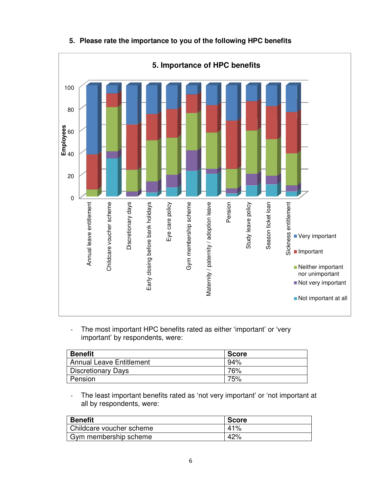

# **5. Please rate the importance to you of the following HPC benefits**

The most important HPC benefits rated as either 'important' or 'very important' by respondents, were:

| <b>Benefit</b>                  | <b>Score</b> |
|---------------------------------|--------------|
| <b>Annual Leave Entitlement</b> | 94%          |
| <b>Discretionary Days</b>       | 76%          |
| Pension                         | 75%          |

The least important benefits rated as 'not very important' or 'not important at all by respondents, were:

| <b>Benefit</b>                  | <b>Score</b> |
|---------------------------------|--------------|
| <b>Childcare voucher scheme</b> | 41%          |
| Gym membership scheme           | 42%          |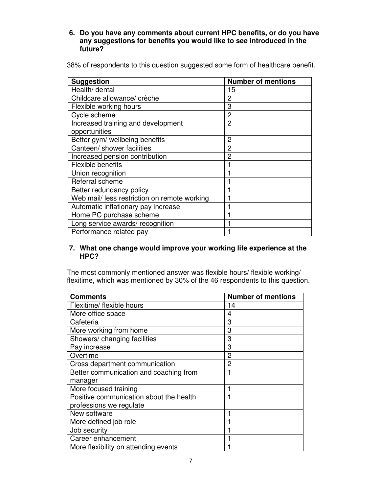**6. Do you have any comments about current HPC benefits, or do you have any suggestions for benefits you would like to see introduced in the future?** 

| <b>Suggestion</b>                            | <b>Number of mentions</b> |
|----------------------------------------------|---------------------------|
| Health/ dental                               | 15                        |
| Childcare allowance/ crèche                  | 2                         |
| Flexible working hours                       | 3                         |
| Cycle scheme                                 | 2                         |
| Increased training and development           | $\overline{2}$            |
| opportunities                                |                           |
| Better gym/ wellbeing benefits               | 2                         |
| Canteen/ shower facilities                   | 2                         |
| Increased pension contribution               | 2                         |
| Flexible benefits                            |                           |
| Union recognition                            |                           |
| Referral scheme                              |                           |
| Better redundancy policy                     |                           |
| Web mail/ less restriction on remote working |                           |
| Automatic inflationary pay increase          |                           |
| Home PC purchase scheme                      |                           |
| Long service awards/recognition              |                           |
| Performance related pay                      |                           |

## **7. What one change would improve your working life experience at the HPC?**

The most commonly mentioned answer was flexible hours/ flexible working/ flexitime, which was mentioned by 30% of the 46 respondents to this question.

| <b>Comments</b>                         | <b>Number of mentions</b> |
|-----------------------------------------|---------------------------|
| Flexitime/ flexible hours               | 14                        |
| More office space                       | 4                         |
| Cafeteria                               | 3                         |
| More working from home                  | 3                         |
| Showers/ changing facilities            | 3                         |
| Pay increase                            | 3                         |
| Overtime                                | 2                         |
| Cross department communication          | 2                         |
| Better communication and coaching from  |                           |
| manager                                 |                           |
| More focused training                   |                           |
| Positive communication about the health |                           |
| professions we regulate                 |                           |
| New software                            |                           |
| More defined job role                   |                           |
| Job security                            |                           |
| Career enhancement                      |                           |
| More flexibility on attending events    |                           |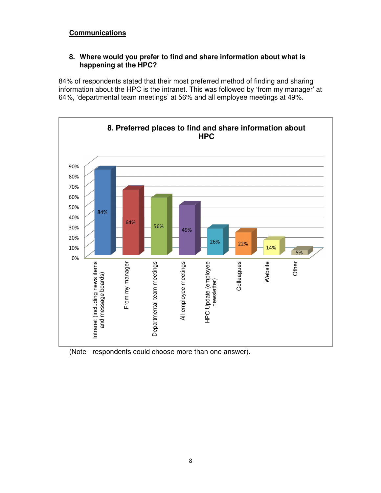# **Communications**

# **8. Where would you prefer to find and share information about what is happening at the HPC?**

84% of respondents stated that their most preferred method of finding and sharing information about the HPC is the intranet. This was followed by 'from my manager' at 64%, 'departmental team meetings' at 56% and all employee meetings at 49%.



(Note - respondents could choose more than one answer).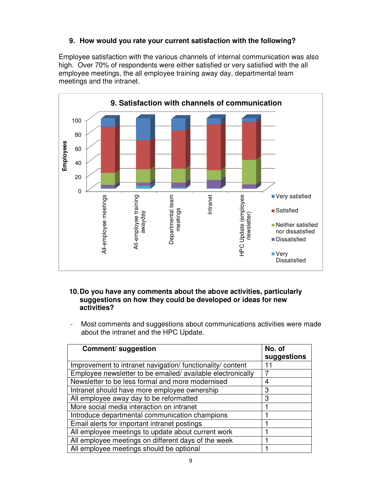# **9. How would you rate your current satisfaction with the following?**

Employee satisfaction with the various channels of internal communication was also high. Over 70% of respondents were either satisfied or very satisfied with the all employee meetings, the all employee training away day, departmental team meetings and the intranet.



### **10. Do you have any comments about the above activities, particularly suggestions on how they could be developed or ideas for new activities?**

Most comments and suggestions about communications activities were made about the intranet and the HPC Update.

| Comment/ suggestion                                        | No. of<br>suggestions |
|------------------------------------------------------------|-----------------------|
| Improvement to intranet navigation/ functionality/ content |                       |
| Employee newsletter to be emailed/available electronically |                       |
| Newsletter to be less formal and more modernised           | 4                     |
| Intranet should have more employee ownership               | 3                     |
| All employee away day to be reformatted                    | 3                     |
| More social media interaction on intranet                  |                       |
| Introduce departmental communication champions             |                       |
| Email alerts for important intranet postings               |                       |
| All employee meetings to update about current work         |                       |
| All employee meetings on different days of the week        |                       |
| All employee meetings should be optional                   |                       |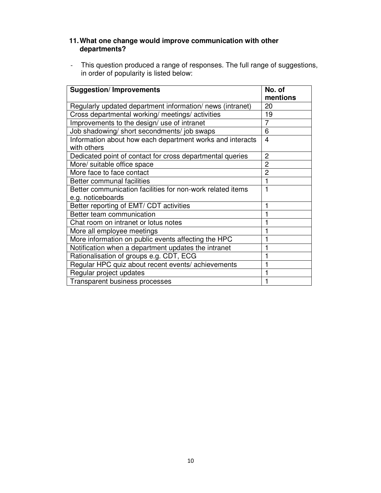# **11. What one change would improve communication with other departments?**

- This question produced a range of responses. The full range of suggestions, in order of popularity is listed below:

| <b>Suggestion/Improvements</b>                                                  | No. of<br>mentions      |
|---------------------------------------------------------------------------------|-------------------------|
| Regularly updated department information/news (intranet)                        | 20                      |
| Cross departmental working/ meetings/ activities                                | 19                      |
| Improvements to the design/ use of intranet                                     | 7                       |
| Job shadowing/ short secondments/ job swaps                                     | 6                       |
| Information about how each department works and interacts<br>with others        | $\overline{\mathbf{4}}$ |
| Dedicated point of contact for cross departmental queries                       | 2                       |
| More/ suitable office space                                                     | $\overline{2}$          |
| More face to face contact                                                       | 2                       |
| Better communal facilities                                                      |                         |
| Better communication facilities for non-work related items<br>e.g. noticeboards |                         |
| Better reporting of EMT/ CDT activities                                         |                         |
| Better team communication                                                       |                         |
| Chat room on intranet or lotus notes                                            |                         |
| More all employee meetings                                                      |                         |
| More information on public events affecting the HPC                             |                         |
| Notification when a department updates the intranet                             |                         |
| Rationalisation of groups e.g. CDT, ECG                                         |                         |
| Regular HPC quiz about recent events/achievements                               |                         |
| Regular project updates                                                         |                         |
| Transparent business processes                                                  |                         |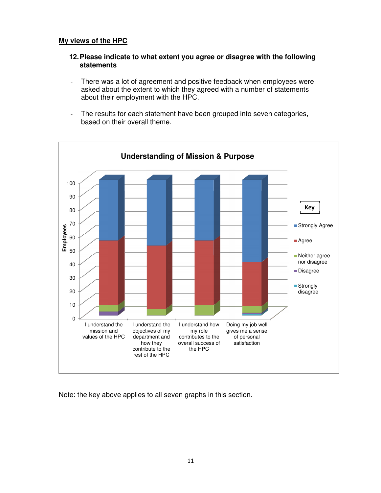## **My views of the HPC**

## **12. Please indicate to what extent you agree or disagree with the following statements**

- There was a lot of agreement and positive feedback when employees were asked about the extent to which they agreed with a number of statements about their employment with the HPC.
- The results for each statement have been grouped into seven categories, based on their overall theme.



Note: the key above applies to all seven graphs in this section.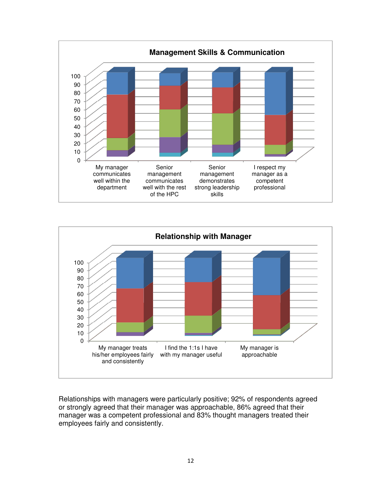



Relationships with managers were particularly positive; 92% of respondents agreed or strongly agreed that their manager was approachable, 86% agreed that their manager was a competent professional and 83% thought managers treated their employees fairly and consistently.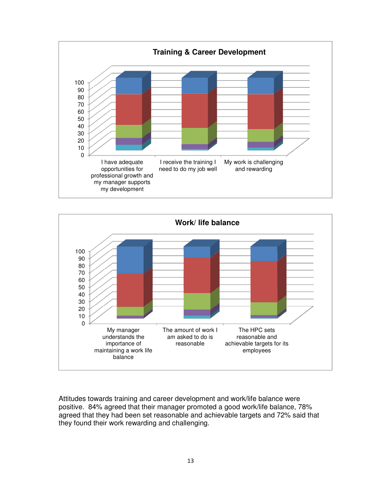



Attitudes towards training and career development and work/life balance were positive. 84% agreed that their manager promoted a good work/life balance, 78% agreed that they had been set reasonable and achievable targets and 72% said that they found their work rewarding and challenging.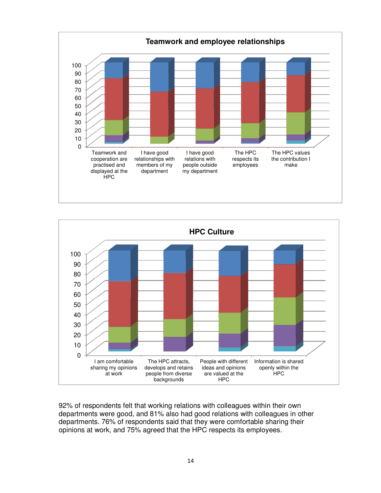



92% of respondents felt that working relations with colleagues within their own departments were good, and 81% also had good relations with colleagues in other departments. 76% of respondents said that they were comfortable sharing their opinions at work, and 75% agreed that the HPC respects its employees.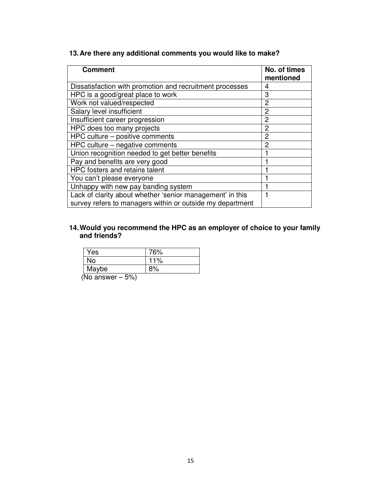| <b>Comment</b>                                            | No. of times<br>mentioned |
|-----------------------------------------------------------|---------------------------|
| Dissatisfaction with promotion and recruitment processes  | 4                         |
| HPC is a good/great place to work                         | 3                         |
| Work not valued/respected                                 | 2                         |
| Salary level insufficient                                 | 2                         |
| Insufficient career progression                           | $\overline{2}$            |
| HPC does too many projects                                | 2                         |
| HPC culture - positive comments                           | 2                         |
| HPC culture – negative comments                           | 2                         |
| Union recognition needed to get better benefits           |                           |
| Pay and benefits are very good                            |                           |
| HPC fosters and retains talent                            |                           |
| You can't please everyone                                 |                           |
| Unhappy with new pay banding system                       |                           |
| Lack of clarity about whether 'senior management' in this |                           |
| survey refers to managers within or outside my department |                           |

# **13. Are there any additional comments you would like to make?**

#### **14. Would you recommend the HPC as an employer of choice to your family and friends?**

| Yes                           | 76% |
|-------------------------------|-----|
| No                            | 11% |
| Maybe                         | 8%  |
| $\sqrt{N}$<br><b>FAI</b><br>. |     |

(No answer – 5%)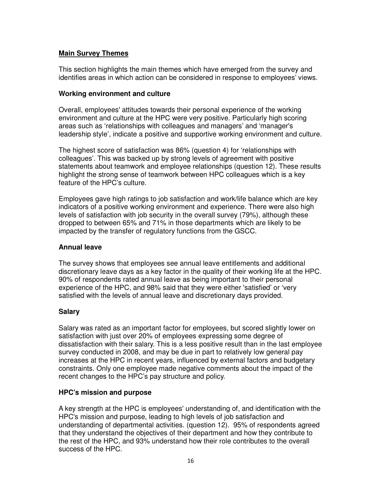# **Main Survey Themes**

This section highlights the main themes which have emerged from the survey and identifies areas in which action can be considered in response to employees' views.

## **Working environment and culture**

Overall, employees' attitudes towards their personal experience of the working environment and culture at the HPC were very positive. Particularly high scoring areas such as 'relationships with colleagues and managers' and 'manager's leadership style', indicate a positive and supportive working environment and culture.

The highest score of satisfaction was 86% (question 4) for 'relationships with colleagues'. This was backed up by strong levels of agreement with positive statements about teamwork and employee relationships (question 12). These results highlight the strong sense of teamwork between HPC colleagues which is a key feature of the HPC's culture.

Employees gave high ratings to job satisfaction and work/life balance which are key indicators of a positive working environment and experience. There were also high levels of satisfaction with job security in the overall survey (79%), although these dropped to between 65% and 71% in those departments which are likely to be impacted by the transfer of regulatory functions from the GSCC.

## **Annual leave**

The survey shows that employees see annual leave entitlements and additional discretionary leave days as a key factor in the quality of their working life at the HPC. 90% of respondents rated annual leave as being important to their personal experience of the HPC, and 98% said that they were either 'satisfied' or 'very satisfied with the levels of annual leave and discretionary days provided.

# **Salary**

Salary was rated as an important factor for employees, but scored slightly lower on satisfaction with just over 20% of employees expressing some degree of dissatisfaction with their salary. This is a less positive result than in the last employee survey conducted in 2008, and may be due in part to relatively low general pay increases at the HPC in recent years, influenced by external factors and budgetary constraints. Only one employee made negative comments about the impact of the recent changes to the HPC's pay structure and policy.

# **HPC's mission and purpose**

A key strength at the HPC is employees' understanding of, and identification with the HPC's mission and purpose, leading to high levels of job satisfaction and understanding of departmental activities. (question 12). 95% of respondents agreed that they understand the objectives of their department and how they contribute to the rest of the HPC, and 93% understand how their role contributes to the overall success of the HPC.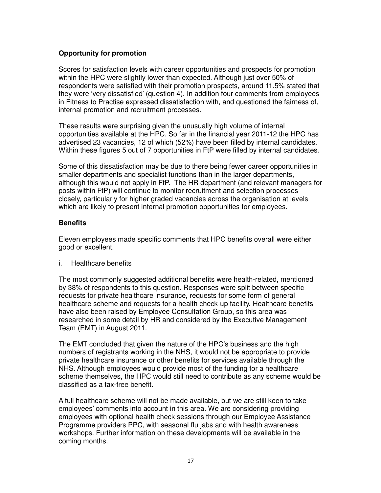# **Opportunity for promotion**

Scores for satisfaction levels with career opportunities and prospects for promotion within the HPC were slightly lower than expected. Although just over 50% of respondents were satisfied with their promotion prospects, around 11.5% stated that they were 'very dissatisfied' (question 4). In addition four comments from employees in Fitness to Practise expressed dissatisfaction with, and questioned the fairness of, internal promotion and recruitment processes.

These results were surprising given the unusually high volume of internal opportunities available at the HPC. So far in the financial year 2011-12 the HPC has advertised 23 vacancies, 12 of which (52%) have been filled by internal candidates. Within these figures 5 out of 7 opportunities in FtP were filled by internal candidates.

Some of this dissatisfaction may be due to there being fewer career opportunities in smaller departments and specialist functions than in the larger departments, although this would not apply in FtP. The HR department (and relevant managers for posts within FtP) will continue to monitor recruitment and selection processes closely, particularly for higher graded vacancies across the organisation at levels which are likely to present internal promotion opportunities for employees.

## **Benefits**

Eleven employees made specific comments that HPC benefits overall were either good or excellent.

i. Healthcare benefits

The most commonly suggested additional benefits were health-related, mentioned by 38% of respondents to this question. Responses were split between specific requests for private healthcare insurance, requests for some form of general healthcare scheme and requests for a health check-up facility. Healthcare benefits have also been raised by Employee Consultation Group, so this area was researched in some detail by HR and considered by the Executive Management Team (EMT) in August 2011.

The EMT concluded that given the nature of the HPC's business and the high numbers of registrants working in the NHS, it would not be appropriate to provide private healthcare insurance or other benefits for services available through the NHS. Although employees would provide most of the funding for a healthcare scheme themselves, the HPC would still need to contribute as any scheme would be classified as a tax-free benefit.

A full healthcare scheme will not be made available, but we are still keen to take employees' comments into account in this area. We are considering providing employees with optional health check sessions through our Employee Assistance Programme providers PPC, with seasonal flu jabs and with health awareness workshops. Further information on these developments will be available in the coming months.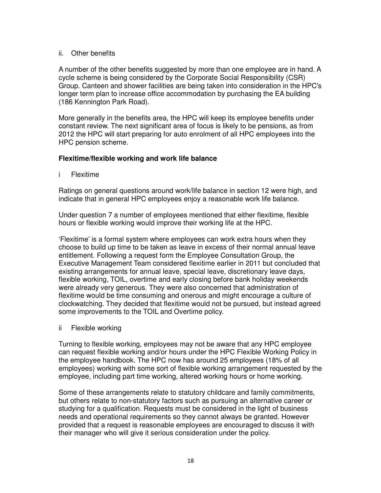## ii. Other benefits

A number of the other benefits suggested by more than one employee are in hand. A cycle scheme is being considered by the Corporate Social Responsibility (CSR) Group. Canteen and shower facilities are being taken into consideration in the HPC's longer term plan to increase office accommodation by purchasing the EA building (186 Kennington Park Road).

More generally in the benefits area, the HPC will keep its employee benefits under constant review. The next significant area of focus is likely to be pensions, as from 2012 the HPC will start preparing for auto enrolment of all HPC employees into the HPC pension scheme.

## **Flexitime/flexible working and work life balance**

i Flexitime

Ratings on general questions around work/life balance in section 12 were high, and indicate that in general HPC employees enjoy a reasonable work life balance.

Under question 7 a number of employees mentioned that either flexitime, flexible hours or flexible working would improve their working life at the HPC.

'Flexitime' is a formal system where employees can work extra hours when they choose to build up time to be taken as leave in excess of their normal annual leave entitlement. Following a request form the Employee Consultation Group, the Executive Management Team considered flexitime earlier in 2011 but concluded that existing arrangements for annual leave, special leave, discretionary leave days, flexible working, TOIL, overtime and early closing before bank holiday weekends were already very generous. They were also concerned that administration of flexitime would be time consuming and onerous and might encourage a culture of clockwatching. They decided that flexitime would not be pursued, but instead agreed some improvements to the TOIL and Overtime policy.

ii Flexible working

Turning to flexible working, employees may not be aware that any HPC employee can request flexible working and/or hours under the HPC Flexible Working Policy in the employee handbook. The HPC now has around 25 employees (18% of all employees) working with some sort of flexible working arrangement requested by the employee, including part time working, altered working hours or home working.

Some of these arrangements relate to statutory childcare and family commitments, but others relate to non-statutory factors such as pursuing an alternative career or studying for a qualification. Requests must be considered in the light of business needs and operational requirements so they cannot always be granted. However provided that a request is reasonable employees are encouraged to discuss it with their manager who will give it serious consideration under the policy.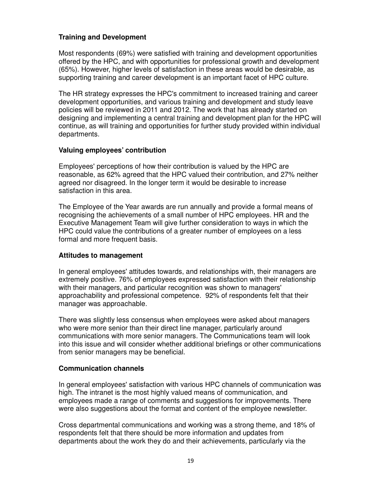# **Training and Development**

Most respondents (69%) were satisfied with training and development opportunities offered by the HPC, and with opportunities for professional growth and development (65%). However, higher levels of satisfaction in these areas would be desirable, as supporting training and career development is an important facet of HPC culture.

The HR strategy expresses the HPC's commitment to increased training and career development opportunities, and various training and development and study leave policies will be reviewed in 2011 and 2012. The work that has already started on designing and implementing a central training and development plan for the HPC will continue, as will training and opportunities for further study provided within individual departments.

## **Valuing employees' contribution**

Employees' perceptions of how their contribution is valued by the HPC are reasonable, as 62% agreed that the HPC valued their contribution, and 27% neither agreed nor disagreed. In the longer term it would be desirable to increase satisfaction in this area.

The Employee of the Year awards are run annually and provide a formal means of recognising the achievements of a small number of HPC employees. HR and the Executive Management Team will give further consideration to ways in which the HPC could value the contributions of a greater number of employees on a less formal and more frequent basis.

## **Attitudes to management**

In general employees' attitudes towards, and relationships with, their managers are extremely positive. 76% of employees expressed satisfaction with their relationship with their managers, and particular recognition was shown to managers' approachability and professional competence. 92% of respondents felt that their manager was approachable.

There was slightly less consensus when employees were asked about managers who were more senior than their direct line manager, particularly around communications with more senior managers. The Communications team will look into this issue and will consider whether additional briefings or other communications from senior managers may be beneficial.

## **Communication channels**

In general employees' satisfaction with various HPC channels of communication was high. The intranet is the most highly valued means of communication, and employees made a range of comments and suggestions for improvements. There were also suggestions about the format and content of the employee newsletter.

Cross departmental communications and working was a strong theme, and 18% of respondents felt that there should be more information and updates from departments about the work they do and their achievements, particularly via the